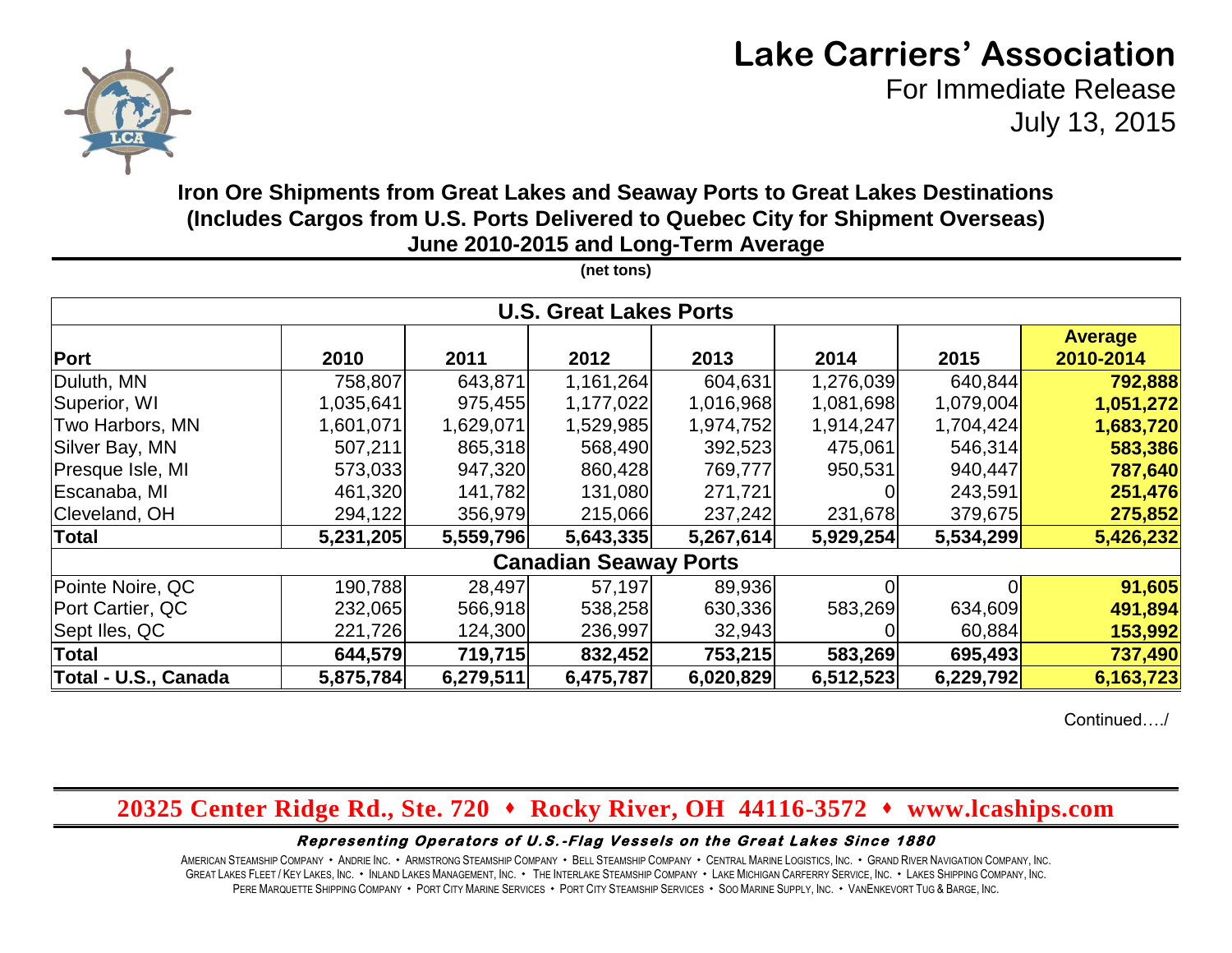

# **Lake Carriers' Association**

For Immediate Release July 13, 2015

### **Iron Ore Shipments from Great Lakes and Seaway Ports to Great Lakes Destinations (Includes Cargos from U.S. Ports Delivered to Quebec City for Shipment Overseas) June 2010-2015 and Long-Term Average**

**(net tons)**

|                      |           |           | <b>U.S. Great Lakes Ports</b> |           |           |           |                |
|----------------------|-----------|-----------|-------------------------------|-----------|-----------|-----------|----------------|
|                      |           |           |                               |           |           |           | <b>Average</b> |
| Port                 | 2010      | 2011      | 2012                          | 2013      | 2014      | 2015      | 2010-2014      |
| Duluth, MN           | 758,807   | 643,871   | 1,161,264                     | 604,631   | 1,276,039 | 640,844   | 792,888        |
| Superior, WI         | 1,035,641 | 975,455   | 1,177,022                     | 1,016,968 | 1,081,698 | 1,079,004 | 1,051,272      |
| Two Harbors, MN      | 1,601,071 | 1,629,071 | 1,529,985                     | 1,974,752 | 1,914,247 | 1,704,424 | 1,683,720      |
| Silver Bay, MN       | 507,211   | 865,318   | 568,490                       | 392,523   | 475,061   | 546,314   | 583,386        |
| Presque Isle, MI     | 573,033   | 947,320   | 860,428                       | 769,777   | 950,531   | 940,447   | 787,640        |
| Escanaba, MI         | 461,320   | 141,782   | 131,080                       | 271,721   |           | 243,591   | 251,476        |
| Cleveland, OH        | 294,122   | 356,979   | 215,066                       | 237,242   | 231,678   | 379,675   | 275,852        |
| Total                | 5,231,205 | 5,559,796 | 5,643,335                     | 5,267,614 | 5,929,254 | 5,534,299 | 5,426,232      |
|                      |           |           | <b>Canadian Seaway Ports</b>  |           |           |           |                |
| Pointe Noire, QC     | 190,788   | 28,497    | 57,197                        | 89,936    | $\Omega$  |           | 91,605         |
| Port Cartier, QC     | 232,065   | 566,918   | 538,258                       | 630,336   | 583,269   | 634,609   | 491,894        |
| Sept Iles, QC        | 221,726   | 124,300   | 236,997                       | 32,943    |           | 60,884    | 153,992        |
| Total                | 644,579   | 719,715   | 832,452                       | 753,215   | 583,269   | 695,493   | 737,490        |
| Total - U.S., Canada | 5,875,784 | 6,279,511 | 6,475,787                     | 6,020,829 | 6,512,523 | 6,229,792 | 6,163,723      |

Continued…./

# **20325 Center Ridge Rd., Ste. 720 Rocky River, OH 44116-3572 www.lcaships.com**

#### Representing Operators of U.S.-Flag Vessels on the Great Lakes Since 1880

AMERICAN STEAMSHIP COMPANY · ANDRIE INC. · ARMSTRONG STEAMSHIP COMPANY · BELL STEAMSHIP COMPANY · CENTRAL MARINE LOGISTICS. INC. · GRAND RIVER NAVIGATION COMPANY, INC. GREAT LAKES FLEET / KEY LAKES, INC. . INLAND LAKES MANAGEMENT, INC. . THE INTERLAKE STEAMSHIP COMPANY . LAKE MICHIGAN CARFERRY SERVICE, INC. . LAKES SHIPPING COMPANY, INC. PERE MARQUETTE SHIPPING COMPANY · PORT CITY MARINE SERVICES · PORT CITY STEAMSHIP SERVICES · SOO MARINE SUPPLY, INC. · VANENKEVORT TUG & BARGE, INC.